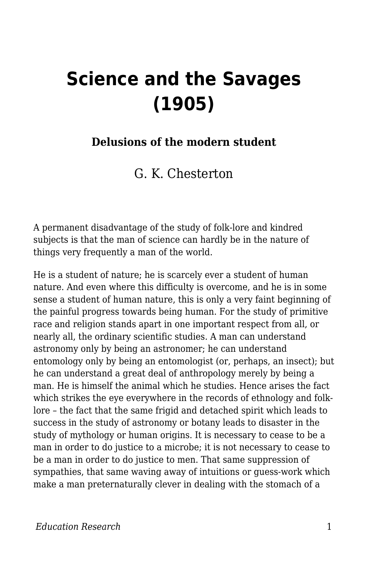## **Science and the Savages (1905)**

## **Delusions of the modern student**

G. K. Chesterton

A permanent disadvantage of the study of folk-lore and kindred subjects is that the man of science can hardly be in the nature of things very frequently a man of the world.

He is a student of nature; he is scarcely ever a student of human nature. And even where this difficulty is overcome, and he is in some sense a student of human nature, this is only a very faint beginning of the painful progress towards being human. For the study of primitive race and religion stands apart in one important respect from all, or nearly all, the ordinary scientific studies. A man can understand astronomy only by being an astronomer; he can understand entomology only by being an entomologist (or, perhaps, an insect); but he can understand a great deal of anthropology merely by being a man. He is himself the animal which he studies. Hence arises the fact which strikes the eye everywhere in the records of ethnology and folklore – the fact that the same frigid and detached spirit which leads to success in the study of astronomy or botany leads to disaster in the study of mythology or human origins. It is necessary to cease to be a man in order to do justice to a microbe; it is not necessary to cease to be a man in order to do justice to men. That same suppression of sympathies, that same waving away of intuitions or guess-work which make a man preternaturally clever in dealing with the stomach of a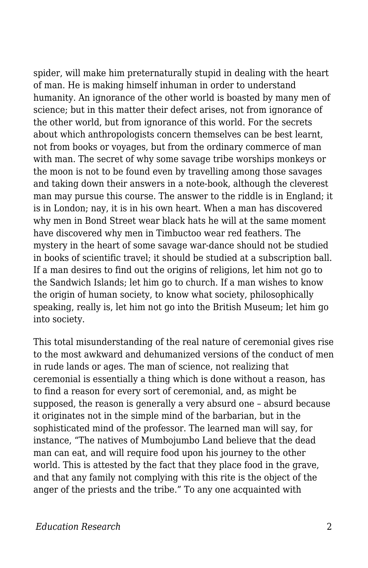spider, will make him preternaturally stupid in dealing with the heart of man. He is making himself inhuman in order to understand humanity. An ignorance of the other world is boasted by many men of science; but in this matter their defect arises, not from ignorance of the other world, but from ignorance of this world. For the secrets about which anthropologists concern themselves can be best learnt, not from books or voyages, but from the ordinary commerce of man with man. The secret of why some savage tribe worships monkeys or the moon is not to be found even by travelling among those savages and taking down their answers in a note-book, although the cleverest man may pursue this course. The answer to the riddle is in England; it is in London; nay, it is in his own heart. When a man has discovered why men in Bond Street wear black hats he will at the same moment have discovered why men in Timbuctoo wear red feathers. The mystery in the heart of some savage war-dance should not be studied in books of scientific travel; it should be studied at a subscription ball. If a man desires to find out the origins of religions, let him not go to the Sandwich Islands; let him go to church. If a man wishes to know the origin of human society, to know what society, philosophically speaking, really is, let him not go into the British Museum; let him go into society.

This total misunderstanding of the real nature of ceremonial gives rise to the most awkward and dehumanized versions of the conduct of men in rude lands or ages. The man of science, not realizing that ceremonial is essentially a thing which is done without a reason, has to find a reason for every sort of ceremonial, and, as might be supposed, the reason is generally a very absurd one – absurd because it originates not in the simple mind of the barbarian, but in the sophisticated mind of the professor. The learned man will say, for instance, "The natives of Mumbojumbo Land believe that the dead man can eat, and will require food upon his journey to the other world. This is attested by the fact that they place food in the grave, and that any family not complying with this rite is the object of the anger of the priests and the tribe." To any one acquainted with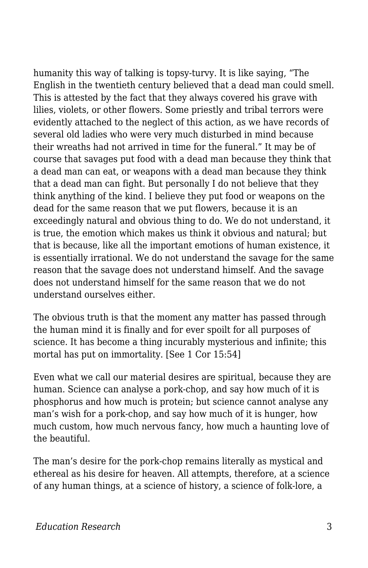humanity this way of talking is topsy-turvy. It is like saying, "The English in the twentieth century believed that a dead man could smell. This is attested by the fact that they always covered his grave with lilies, violets, or other flowers. Some priestly and tribal terrors were evidently attached to the neglect of this action, as we have records of several old ladies who were very much disturbed in mind because their wreaths had not arrived in time for the funeral." It may be of course that savages put food with a dead man because they think that a dead man can eat, or weapons with a dead man because they think that a dead man can fight. But personally I do not believe that they think anything of the kind. I believe they put food or weapons on the dead for the same reason that we put flowers, because it is an exceedingly natural and obvious thing to do. We do not understand, it is true, the emotion which makes us think it obvious and natural; but that is because, like all the important emotions of human existence, it is essentially irrational. We do not understand the savage for the same reason that the savage does not understand himself. And the savage does not understand himself for the same reason that we do not understand ourselves either.

The obvious truth is that the moment any matter has passed through the human mind it is finally and for ever spoilt for all purposes of science. It has become a thing incurably mysterious and infinite; this mortal has put on immortality. [See 1 Cor 15:54]

Even what we call our material desires are spiritual, because they are human. Science can analyse a pork-chop, and say how much of it is phosphorus and how much is protein; but science cannot analyse any man's wish for a pork-chop, and say how much of it is hunger, how much custom, how much nervous fancy, how much a haunting love of the beautiful.

The man's desire for the pork-chop remains literally as mystical and ethereal as his desire for heaven. All attempts, therefore, at a science of any human things, at a science of history, a science of folk-lore, a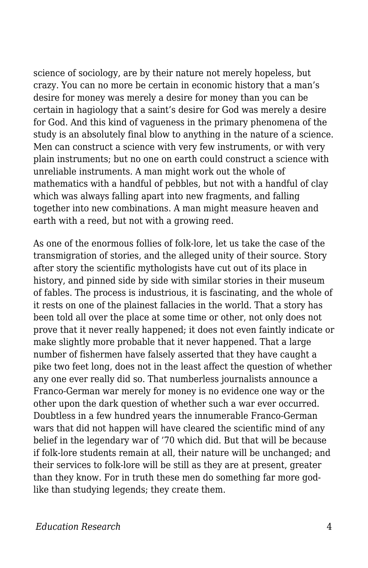science of sociology, are by their nature not merely hopeless, but crazy. You can no more be certain in economic history that a man's desire for money was merely a desire for money than you can be certain in hagiology that a saint's desire for God was merely a desire for God. And this kind of vagueness in the primary phenomena of the study is an absolutely final blow to anything in the nature of a science. Men can construct a science with very few instruments, or with very plain instruments; but no one on earth could construct a science with unreliable instruments. A man might work out the whole of mathematics with a handful of pebbles, but not with a handful of clay which was always falling apart into new fragments, and falling together into new combinations. A man might measure heaven and earth with a reed, but not with a growing reed.

As one of the enormous follies of folk-lore, let us take the case of the transmigration of stories, and the alleged unity of their source. Story after story the scientific mythologists have cut out of its place in history, and pinned side by side with similar stories in their museum of fables. The process is industrious, it is fascinating, and the whole of it rests on one of the plainest fallacies in the world. That a story has been told all over the place at some time or other, not only does not prove that it never really happened; it does not even faintly indicate or make slightly more probable that it never happened. That a large number of fishermen have falsely asserted that they have caught a pike two feet long, does not in the least affect the question of whether any one ever really did so. That numberless journalists announce a Franco-German war merely for money is no evidence one way or the other upon the dark question of whether such a war ever occurred. Doubtless in a few hundred years the innumerable Franco-German wars that did not happen will have cleared the scientific mind of any belief in the legendary war of '70 which did. But that will be because if folk-lore students remain at all, their nature will be unchanged; and their services to folk-lore will be still as they are at present, greater than they know. For in truth these men do something far more godlike than studying legends; they create them.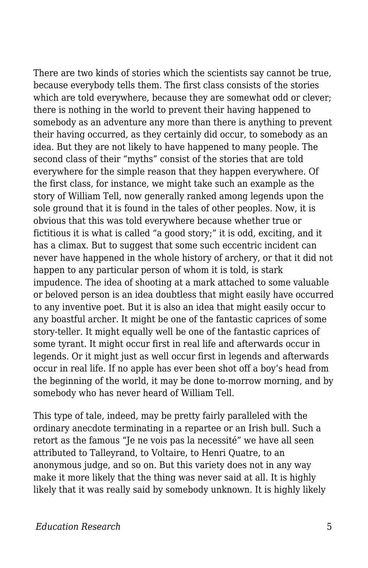There are two kinds of stories which the scientists say cannot be true, because everybody tells them. The first class consists of the stories which are told everywhere, because they are somewhat odd or clever; there is nothing in the world to prevent their having happened to somebody as an adventure any more than there is anything to prevent their having occurred, as they certainly did occur, to somebody as an idea. But they are not likely to have happened to many people. The second class of their "myths" consist of the stories that are told everywhere for the simple reason that they happen everywhere. Of the first class, for instance, we might take such an example as the story of William Tell, now generally ranked among legends upon the sole ground that it is found in the tales of other peoples. Now, it is obvious that this was told everywhere because whether true or fictitious it is what is called "a good story;" it is odd, exciting, and it has a climax. But to suggest that some such eccentric incident can never have happened in the whole history of archery, or that it did not happen to any particular person of whom it is told, is stark impudence. The idea of shooting at a mark attached to some valuable or beloved person is an idea doubtless that might easily have occurred to any inventive poet. But it is also an idea that might easily occur to any boastful archer. It might be one of the fantastic caprices of some story-teller. It might equally well be one of the fantastic caprices of some tyrant. It might occur first in real life and afterwards occur in legends. Or it might just as well occur first in legends and afterwards occur in real life. If no apple has ever been shot off a boy's head from the beginning of the world, it may be done to-morrow morning, and by somebody who has never heard of William Tell.

This type of tale, indeed, may be pretty fairly paralleled with the ordinary anecdote terminating in a repartee or an Irish bull. Such a retort as the famous "Je ne vois pas la necessité" we have all seen attributed to Talleyrand, to Voltaire, to Henri Quatre, to an anonymous judge, and so on. But this variety does not in any way make it more likely that the thing was never said at all. It is highly likely that it was really said by somebody unknown. It is highly likely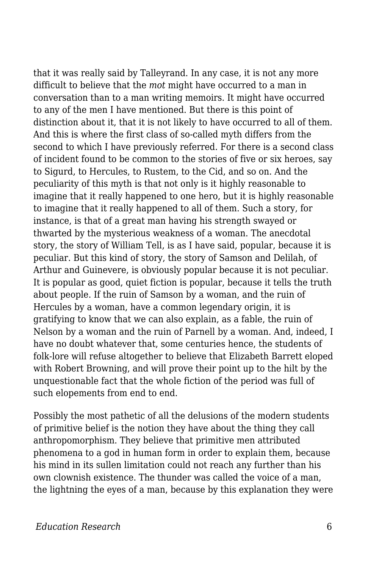that it was really said by Talleyrand. In any case, it is not any more difficult to believe that the *mot* might have occurred to a man in conversation than to a man writing memoirs. It might have occurred to any of the men I have mentioned. But there is this point of distinction about it, that it is not likely to have occurred to all of them. And this is where the first class of so-called myth differs from the second to which I have previously referred. For there is a second class of incident found to be common to the stories of five or six heroes, say to Sigurd, to Hercules, to Rustem, to the Cid, and so on. And the peculiarity of this myth is that not only is it highly reasonable to imagine that it really happened to one hero, but it is highly reasonable to imagine that it really happened to all of them. Such a story, for instance, is that of a great man having his strength swayed or thwarted by the mysterious weakness of a woman. The anecdotal story, the story of William Tell, is as I have said, popular, because it is peculiar. But this kind of story, the story of Samson and Delilah, of Arthur and Guinevere, is obviously popular because it is not peculiar. It is popular as good, quiet fiction is popular, because it tells the truth about people. If the ruin of Samson by a woman, and the ruin of Hercules by a woman, have a common legendary origin, it is gratifying to know that we can also explain, as a fable, the ruin of Nelson by a woman and the ruin of Parnell by a woman. And, indeed, I have no doubt whatever that, some centuries hence, the students of folk-lore will refuse altogether to believe that Elizabeth Barrett eloped with Robert Browning, and will prove their point up to the hilt by the unquestionable fact that the whole fiction of the period was full of such elopements from end to end.

Possibly the most pathetic of all the delusions of the modern students of primitive belief is the notion they have about the thing they call anthropomorphism. They believe that primitive men attributed phenomena to a god in human form in order to explain them, because his mind in its sullen limitation could not reach any further than his own clownish existence. The thunder was called the voice of a man, the lightning the eyes of a man, because by this explanation they were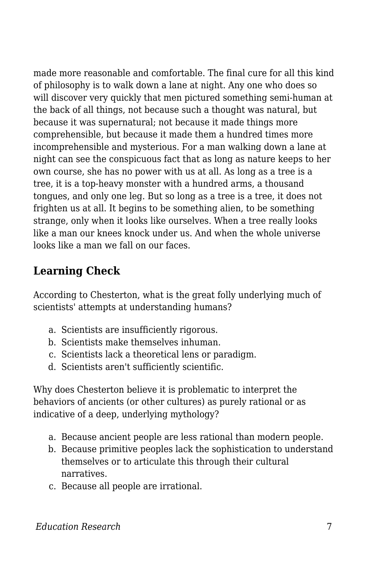made more reasonable and comfortable. The final cure for all this kind of philosophy is to walk down a lane at night. Any one who does so will discover very quickly that men pictured something semi-human at the back of all things, not because such a thought was natural, but because it was supernatural; not because it made things more comprehensible, but because it made them a hundred times more incomprehensible and mysterious. For a man walking down a lane at night can see the conspicuous fact that as long as nature keeps to her own course, she has no power with us at all. As long as a tree is a tree, it is a top-heavy monster with a hundred arms, a thousand tongues, and only one leg. But so long as a tree is a tree, it does not frighten us at all. It begins to be something alien, to be something strange, only when it looks like ourselves. When a tree really looks like a man our knees knock under us. And when the whole universe looks like a man we fall on our faces.

## **Learning Check**

According to Chesterton, what is the great folly underlying much of scientists' attempts at understanding humans?

- a. Scientists are insufficiently rigorous.
- b. Scientists make themselves inhuman.
- c. Scientists lack a theoretical lens or paradigm.
- d. Scientists aren't sufficiently scientific.

Why does Chesterton believe it is problematic to interpret the behaviors of ancients (or other cultures) as purely rational or as indicative of a deep, underlying mythology?

- a. Because ancient people are less rational than modern people.
- b. Because primitive peoples lack the sophistication to understand themselves or to articulate this through their cultural narratives.
- c. Because all people are irrational.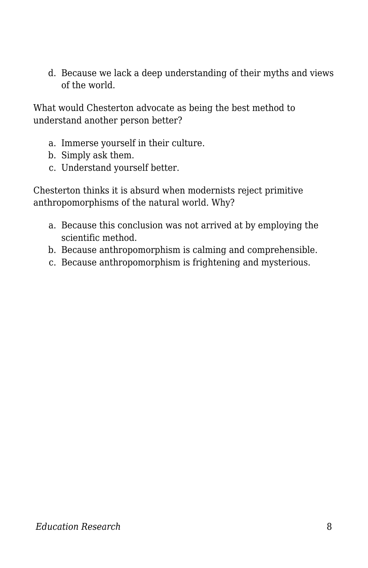d. Because we lack a deep understanding of their myths and views of the world.

What would Chesterton advocate as being the best method to understand another person better?

- a. Immerse yourself in their culture.
- b. Simply ask them.
- c. Understand yourself better.

Chesterton thinks it is absurd when modernists reject primitive anthropomorphisms of the natural world. Why?

- a. Because this conclusion was not arrived at by employing the scientific method.
- b. Because anthropomorphism is calming and comprehensible.
- c. Because anthropomorphism is frightening and mysterious.